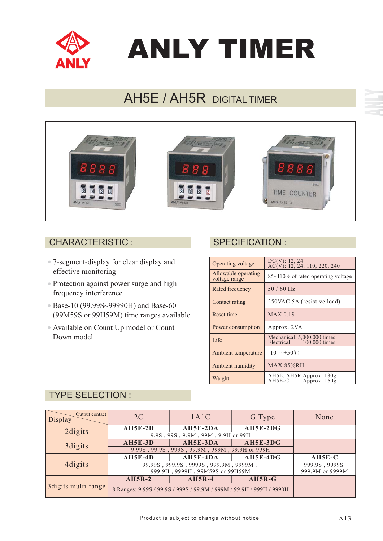

# ANLY TIMER

# AH5E / AH5R DIGITAL TIMER



### CHARACTERISTIC : SPECIFICATION :

- 7-segment-display for clear display and effective monitoring
- Protection against power surge and high frequency interference
- Base-10 (99.99S~99990H) and Base-60 (99M59S or 99H59M) time ranges available
- Available on Count Up model or Count Down model

| Operating voltage                    | DC(V): 12, 24<br>$AC(V)$ : 12, 24, 110, 220, 240         |
|--------------------------------------|----------------------------------------------------------|
| Allowable operating<br>voltage range | $85\text{-}110\%$ of rated operating voltage             |
| Rated frequency                      | $50/60$ Hz                                               |
| Contact rating                       | 250VAC 5A (resistive load)                               |
| Reset time                           | $MAX$ 0.1S                                               |
| Power consumption                    | Approx. 2VA                                              |
| Life                                 | Mechanical: 5,000,000 times<br>Electrical: 100,000 times |
| Ambient temperature                  | $-10 \sim +50^{\circ}$ C                                 |
| Ambient humidity                     | <b>MAX 85%RH</b>                                         |
| Weight                               | AH5E, AH5R Approx. 180g<br>AH5E-C<br>Approx. 160g        |

## TYPE SELECTION :

| Output contact<br>Display | 2C                                             | 1A1C                                                                 | G Type     | None            |
|---------------------------|------------------------------------------------|----------------------------------------------------------------------|------------|-----------------|
| 2 digits                  | $AH5E-2D$                                      | AH5E-2DA                                                             | $AH5E-2DG$ |                 |
|                           | 9.9S, 99S, 9.9M, 99M, 9.9H or 99H              |                                                                      |            |                 |
| 3 digits                  | <b>AH5E-3D</b>                                 | $AH5E-3DA$                                                           | AH5E-3DG   |                 |
|                           | 9.99S, 99.9S, 999S, 99.9M, 999M, 99.9H or 999H |                                                                      |            |                 |
| 4 digits                  | $AH5E-4D$                                      | AH5E-4DA                                                             | $AH5E-4DG$ | $AH5E-C$        |
|                           | 99.99S, 999.9S, 9999S, 999.9M, 9999M,          |                                                                      |            | 999.9S, 9999S   |
|                           | 999.9H, 9999H, 99M59S or 99H59M                |                                                                      |            | 999.9M or 9999M |
| 3digits multi-range       | $AH5R-2$                                       | $AH5R-4$                                                             | $AH5R-G$   |                 |
|                           |                                                | 8 Ranges: 9.99S / 99.9S / 999S / 99.9M / 999M / 99.9H / 999H / 9990H |            |                 |